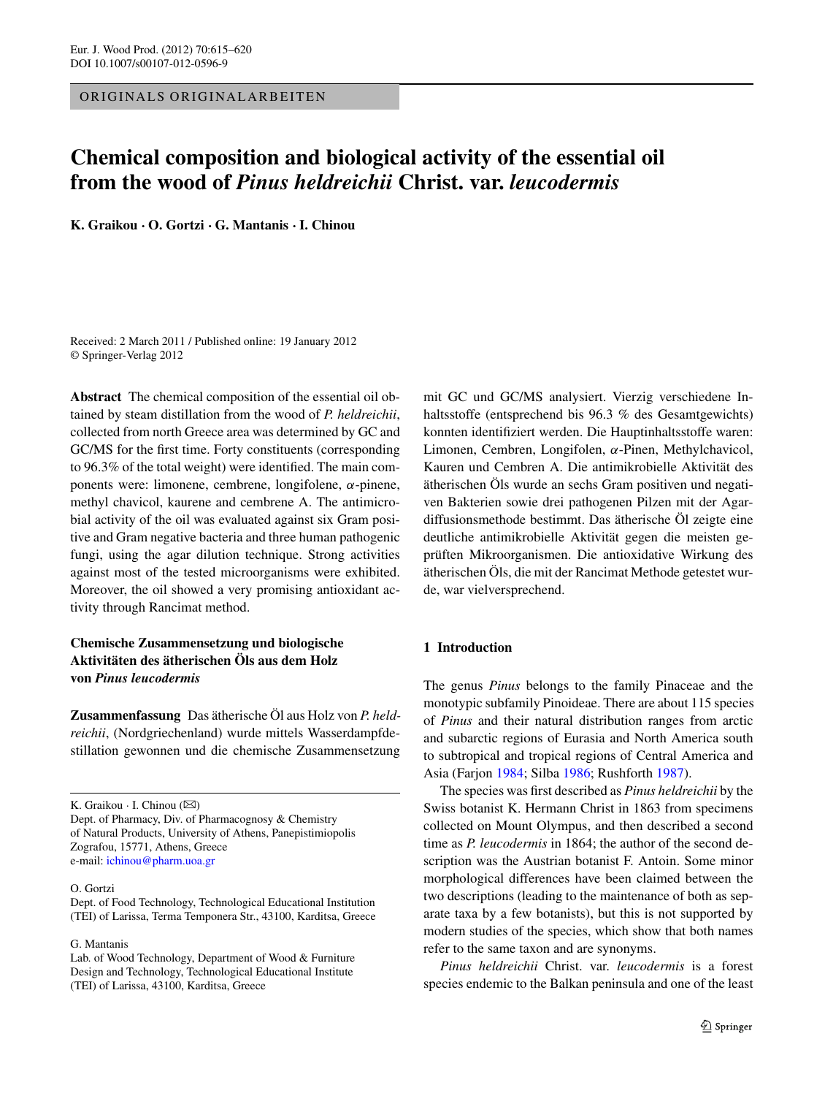ORIGINALS ORIGINALARBEITEN

# **Chemical composition and biological activity of the essential oil from the wood of** *Pinus heldreichii* **Christ. var.** *leucodermis*

**K. Graikou · O. Gortzi · G. Mantanis ·I. Chinou**

Received: 2 March 2011 / Published online: 19 January 2012 © Springer-Verlag 2012

**Abstract** The chemical composition of the essential oil obtained by steam distillation from the wood of *P. heldreichii*, collected from north Greece area was determined by GC and GC/MS for the first time. Forty constituents (corresponding to 96.3% of the total weight) were identified. The main components were: limonene, cembrene, longifolene, *α*-pinene, methyl chavicol, kaurene and cembrene A. The antimicrobial activity of the oil was evaluated against six Gram positive and Gram negative bacteria and three human pathogenic fungi, using the agar dilution technique. Strong activities against most of the tested microorganisms were exhibited. Moreover, the oil showed a very promising antioxidant activity through Rancimat method.

# **Chemische Zusammensetzung und biologische Aktivitäten des ätherischen Öls aus dem Holz von** *Pinus leucodermis*

**Zusammenfassung** Das ätherische Öl aus Holz von *P. heldreichii*, (Nordgriechenland) wurde mittels Wasserdampfdestillation gewonnen und die chemische Zusammensetzung

K. Graikou  $\cdot$  I. Chinou ( $\boxtimes$ )

#### O. Gortzi

G. Mantanis

mit GC und GC/MS analysiert. Vierzig verschiedene Inhaltsstoffe (entsprechend bis 96.3 % des Gesamtgewichts) konnten identifiziert werden. Die Hauptinhaltsstoffe waren: Limonen, Cembren, Longifolen, *α*-Pinen, Methylchavicol, Kauren und Cembren A. Die antimikrobielle Aktivität des ätherischen Öls wurde an sechs Gram positiven und negativen Bakterien sowie drei pathogenen Pilzen mit der Agardiffusionsmethode bestimmt. Das ätherische Öl zeigte eine deutliche antimikrobielle Aktivität gegen die meisten geprüften Mikroorganismen. Die antioxidative Wirkung des ätherischen Öls, die mit der Rancimat Methode getestet wurde, war vielversprechend.

## **1 Introduction**

The genus *Pinus* belongs to the family Pinaceae and the monotypic subfamily Pinoideae. There are about 115 species of *Pinus* and their natural distribution ranges from arctic and subarctic regions of Eurasia and North America south to subtropical and tropical regions of Central America and Asia (Farjon [1984](#page-4-0); Silba [1986](#page-5-0); Rushforth [1987\)](#page-5-1).

The species was first described as *Pinus heldreichii* by the Swiss botanist K. Hermann Christ in 1863 from specimens collected on Mount Olympus, and then described a second time as *P. leucodermis* in 1864; the author of the second description was the Austrian botanist F. Antoin. Some minor morphological differences have been claimed between the two descriptions (leading to the maintenance of both as separate taxa by a few botanists), but this is not supported by modern studies of the species, which show that both names refer to the same taxon and are synonyms.

*Pinus heldreichii* Christ. var. *leucodermis* is a forest species endemic to the Balkan peninsula and one of the least

Dept. of Pharmacy, Div. of Pharmacognosy & Chemistry of Natural Products, University of Athens, Panepistimiopolis Zografou, 15771, Athens, Greece e-mail: [ichinou@pharm.uoa.gr](mailto:ichinou@pharm.uoa.gr)

Dept. of Food Technology, Technological Educational Institution (TEI) of Larissa, Terma Temponera Str., 43100, Karditsa, Greece

Lab. of Wood Technology, Department of Wood & Furniture Design and Technology, Technological Educational Institute (TEI) of Larissa, 43100, Karditsa, Greece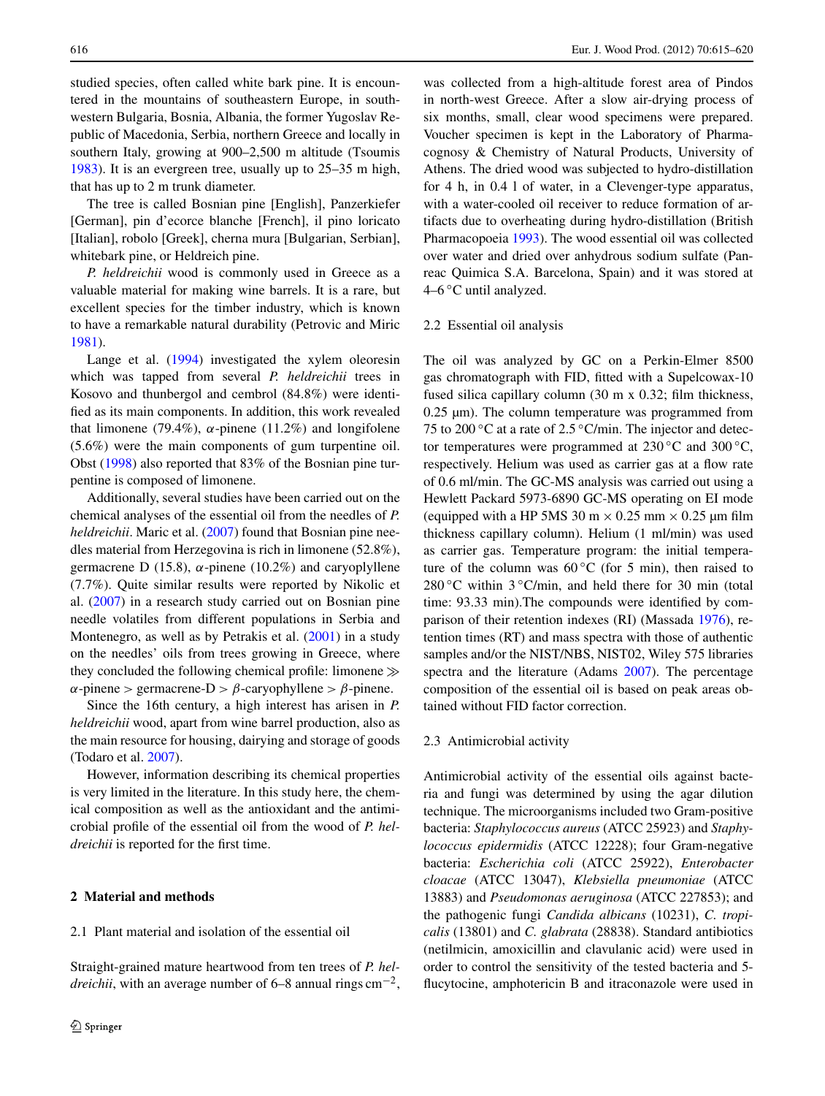studied species, often called white bark pine. It is encountered in the mountains of southeastern Europe, in southwestern Bulgaria, Bosnia, Albania, the former Yugoslav Republic of Macedonia, Serbia, northern Greece and locally in southern Italy, growing at 900–2,500 m altitude (Tsoumis [1983\)](#page-5-2). It is an evergreen tree, usually up to 25–35 m high, that has up to 2 m trunk diameter.

The tree is called Bosnian pine [English], Panzerkiefer [German], pin d'ecorce blanche [French], il pino loricato [Italian], robolo [Greek], cherna mura [Bulgarian, Serbian], whitebark pine, or Heldreich pine.

*P. heldreichii* wood is commonly used in Greece as a valuable material for making wine barrels. It is a rare, but excellent species for the timber industry, which is known to have a remarkable natural durability (Petrovic and Miric [1981\)](#page-5-3).

Lange et al. ([1994\)](#page-5-4) investigated the xylem oleoresin which was tapped from several *P. heldreichii* trees in Kosovo and thunbergol and cembrol (84.8%) were identified as its main components. In addition, this work revealed that limonene (79.4%),  $\alpha$ -pinene (11.2%) and longifolene (5.6%) were the main components of gum turpentine oil. Obst ([1998](#page-5-5)) also reported that 83% of the Bosnian pine turpentine is composed of limonene.

Additionally, several studies have been carried out on the chemical analyses of the essential oil from the needles of *P. heldreichii*. Maric et al. [\(2007](#page-5-6)) found that Bosnian pine needles material from Herzegovina is rich in limonene (52.8%), germacrene D (15.8), *α*-pinene (10.2%) and caryoplyllene (7.7%). Quite similar results were reported by Nikolic et al. [\(2007](#page-5-7)) in a research study carried out on Bosnian pine needle volatiles from different populations in Serbia and Montenegro, as well as by Petrakis et al. ([2001\)](#page-5-8) in a study on the needles' oils from trees growing in Greece, where they concluded the following chemical profile: limonene  $\gg$  $\alpha$ -pinene *>* germacrene- $D > \beta$ -caryophyllene *> β*-pinene.

Since the 16th century, a high interest has arisen in *P. heldreichii* wood, apart from wine barrel production, also as the main resource for housing, dairying and storage of goods (Todaro et al. [2007](#page-5-9)).

However, information describing its chemical properties is very limited in the literature. In this study here, the chemical composition as well as the antioxidant and the antimicrobial profile of the essential oil from the wood of *P. heldreichii* is reported for the first time.

### **2 Material and methods**

#### 2.1 Plant material and isolation of the essential oil

Straight-grained mature heartwood from ten trees of *P. heldreichii*, with an average number of 6–8 annual rings  $\text{cm}^{-2}$ , was collected from a high-altitude forest area of Pindos in north-west Greece. After a slow air-drying process of six months, small, clear wood specimens were prepared. Voucher specimen is kept in the Laboratory of Pharmacognosy & Chemistry of Natural Products, University of Athens. The dried wood was subjected to hydro-distillation for 4 h, in 0.4 l of water, in a Clevenger-type apparatus, with a water-cooled oil receiver to reduce formation of artifacts due to overheating during hydro-distillation (British Pharmacopoeia [1993\)](#page-4-1). The wood essential oil was collected over water and dried over anhydrous sodium sulfate (Panreac Quimica S.A. Barcelona, Spain) and it was stored at  $4-6$  °C until analyzed.

## 2.2 Essential oil analysis

The oil was analyzed by GC on a Perkin-Elmer 8500 gas chromatograph with FID, fitted with a Supelcowax-10 fused silica capillary column (30 m x 0.32; film thickness, 0.25 µm). The column temperature was programmed from 75 to 200 ℃ at a rate of 2.5 °C/min. The injector and detector temperatures were programmed at  $230\,^{\circ}\text{C}$  and  $300\,^{\circ}\text{C}$ , respectively. Helium was used as carrier gas at a flow rate of 0.6 ml/min. The GC-MS analysis was carried out using a Hewlett Packard 5973-6890 GC-MS operating on EI mode (equipped with a HP 5MS 30 m  $\times$  0.25 mm  $\times$  0.25 µm film thickness capillary column). Helium (1 ml/min) was used as carrier gas. Temperature program: the initial temperature of the column was  $60^{\circ}$ C (for 5 min), then raised to  $280\degree$ C within  $3\degree$ C/min, and held there for 30 min (total time: 93.33 min).The compounds were identified by comparison of their retention indexes (RI) (Massada [1976\)](#page-5-10), retention times (RT) and mass spectra with those of authentic samples and/or the NIST/NBS, NIST02, Wiley 575 libraries spectra and the literature (Adams [2007\)](#page-4-2). The percentage composition of the essential oil is based on peak areas obtained without FID factor correction.

#### 2.3 Antimicrobial activity

Antimicrobial activity of the essential oils against bacteria and fungi was determined by using the agar dilution technique. The microorganisms included two Gram-positive bacteria: *Staphylococcus aureus* (ATCC 25923) and *Staphylococcus epidermidis* (ATCC 12228); four Gram-negative bacteria: *Escherichia coli* (ATCC 25922), *Enterobacter cloacae* (ATCC 13047), *Klebsiella pneumoniae* (ATCC 13883) and *Pseudomonas aeruginosa* (ATCC 227853); and the pathogenic fungi *Candida albicans* (10231), *C. tropicalis* (13801) and *C. glabrata* (28838). Standard antibiotics (netilmicin, amoxicillin and clavulanic acid) were used in order to control the sensitivity of the tested bacteria and 5 flucytocine, amphotericin B and itraconazole were used in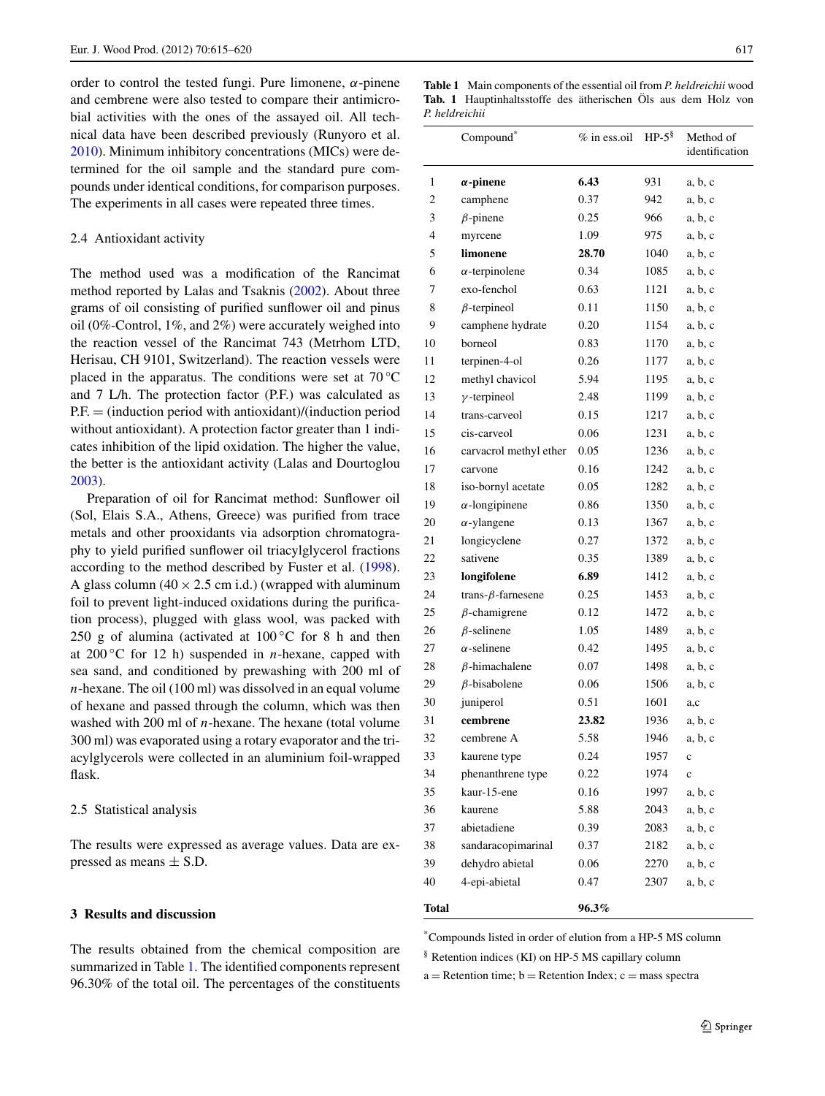order to control the tested fungi. Pure limonene, *α*-pinene and cembrene were also tested to compare their antimicrobial activities with the ones of the assayed oil. All technical data have been described previously (Runyoro et al. [2010\)](#page-5-11). Minimum inhibitory concentrations (MICs) were determined for the oil sample and the standard pure compounds under identical conditions, for comparison purposes. The experiments in all cases were repeated three times.

#### 2.4 Antioxidant activity

The method used was a modification of the Rancimat method reported by Lalas and Tsaknis [\(2002](#page-5-12)). About three grams of oil consisting of purified sunflower oil and pinus oil (0%-Control, 1%, and 2%) were accurately weighed into the reaction vessel of the Rancimat 743 (Metrhom LTD, Herisau, CH 9101, Switzerland). The reaction vessels were placed in the apparatus. The conditions were set at 70 °C and 7 L/h. The protection factor (P.F.) was calculated as P.F. = *(*induction period with antioxidant)/(induction period without antioxidant). A protection factor greater than 1 indicates inhibition of the lipid oxidation. The higher the value, the better is the antioxidant activity (Lalas and Dourtoglou [2003\)](#page-5-13).

Preparation of oil for Rancimat method: Sunflower oil (Sol, Elais S.A., Athens, Greece) was purified from trace metals and other prooxidants via adsorption chromatography to yield purified sunflower oil triacylglycerol fractions according to the method described by Fuster et al. [\(1998](#page-5-14)). A glass column  $(40 \times 2.5 \text{ cm } \text{i.d.})$  (wrapped with aluminum foil to prevent light-induced oxidations during the purification process), plugged with glass wool, was packed with 250 g of alumina (activated at  $100\degree$ C for 8 h and then at  $200\degree$ C for 12 h) suspended in *n*-hexane, capped with sea sand, and conditioned by prewashing with 200 ml of *n*-hexane. The oil (100 ml) was dissolved in an equal volume of hexane and passed through the column, which was then washed with 200 ml of *n*-hexane. The hexane (total volume 300 ml) was evaporated using a rotary evaporator and the triacylglycerols were collected in an aluminium foil-wrapped flask.

#### 2.5 Statistical analysis

The results were expressed as average values. Data are expressed as means  $\pm$  S.D.

# **3 Results and discussion**

The results obtained from the chemical composition are summarized in Table [1](#page-2-0). The identified components represent 96.30% of the total oil. The percentages of the constituents

<span id="page-2-0"></span>**Table 1** Main components of the essential oil from *P. heldreichii* wood **Tab. 1** Hauptinhaltsstoffe des ätherischen Öls aus dem Holz von *P. heldreichii*

|              | Compound*                 | $%$ in ess.oil | $HP-5^{\S}$ | Method of<br>identification |
|--------------|---------------------------|----------------|-------------|-----------------------------|
| 1            | $\alpha$ -pinene          | 6.43           | 931         | a, b, c                     |
| 2            | camphene                  | 0.37           | 942         | a, b, c                     |
| 3            | $\beta$ -pinene           | 0.25           | 966         | a, b, c                     |
| 4            | myrcene                   | 1.09           | 975         | a, b, c                     |
| 5            | limonene                  | 28.70          | 1040        | a, b, c                     |
| 6            | $\alpha$ -terpinolene     | 0.34           | 1085        | a, b, c                     |
| 7            | exo-fenchol               | 0.63           | 1121        | a, b, c                     |
| 8            | $\beta$ -terpineol        | 0.11           | 1150        | a, b, c                     |
| 9            | camphene hydrate          | 0.20           | 1154        | a, b, c                     |
| 10           | borneol                   | 0.83           | 1170        | a, b, c                     |
| 11           | terpinen-4-ol             | 0.26           | 1177        | a, b, c                     |
| 12           | methyl chavicol           | 5.94           | 1195        | a, b, c                     |
| 13           | $\gamma$ -terpineol       | 2.48           | 1199        | a, b, c                     |
| 14           | trans-carveol             | 0.15           | 1217        | a, b, c                     |
| 15           | cis-carveol               | 0.06           | 1231        | a, b, c                     |
| 16           | carvacrol methyl ether    | 0.05           | 1236        | a, b, c                     |
| 17           | carvone                   | 0.16           | 1242        | a, b, c                     |
| 18           | iso-bornyl acetate        | 0.05           | 1282        | a, b, c                     |
| 19           | $\alpha$ -longipinene     | 0.86           | 1350        | a, b, c                     |
| 20           | $\alpha$ -ylangene        | 0.13           | 1367        | a, b, c                     |
| 21           | longicyclene              | 0.27           | 1372        | a, b, c                     |
| 22           | sativene                  | 0.35           | 1389        | a, b, c                     |
| 23           | longifolene               | 6.89           | 1412        | a, b, c                     |
| 24           | trans- $\beta$ -farnesene | 0.25           | 1453        | a, b, c                     |
| 25           | $\beta$ -chamigrene       | 0.12           | 1472        | a, b, c                     |
| 26           | $\beta$ -selinene         | 1.05           | 1489        | a, b, c                     |
| 27           | $\alpha$ -selinene        | 0.42           | 1495        | a, b, c                     |
| 28           | $\beta$ -himachalene      | 0.07           | 1498        | a, b, c                     |
| 29           | $\beta$ -bisabolene       | 0.06           | 1506        | a, b, c                     |
| 30           | juniperol                 | 0.51           | 1601        | a,c                         |
| 31           | cembrene                  | 23.82          | 1936        | a, b, c                     |
| 32           | cembrene A                | 5.58           | 1946        | a, b, c                     |
| 33           | kaurene type              | 0.24           | 1957        | c                           |
| 34           | phenanthrene type         | 0.22           | 1974        | $\mathbf c$                 |
| 35           | kaur-15-ene               | 0.16           | 1997        | a, b, c                     |
| 36           | kaurene                   | 5.88           | 2043        | a, b, c                     |
| 37           | abietadiene               | 0.39           | 2083        | a, b, c                     |
| 38           | sandaracopimarinal        | 0.37           | 2182        | a, b, c                     |
| 39           | dehydro abietal           | 0.06           | 2270        | a, b, c                     |
| 40           | 4-epi-abietal             | 0.47           | 2307        | a, b, c                     |
| <b>Total</b> |                           | 96.3%          |             |                             |

\*Compounds listed in order of elution from a HP-5 MS column

§ Retention indices (KI) on HP-5 MS capillary column

 $a =$  Retention time;  $b =$  Retention Index;  $c =$  mass spectra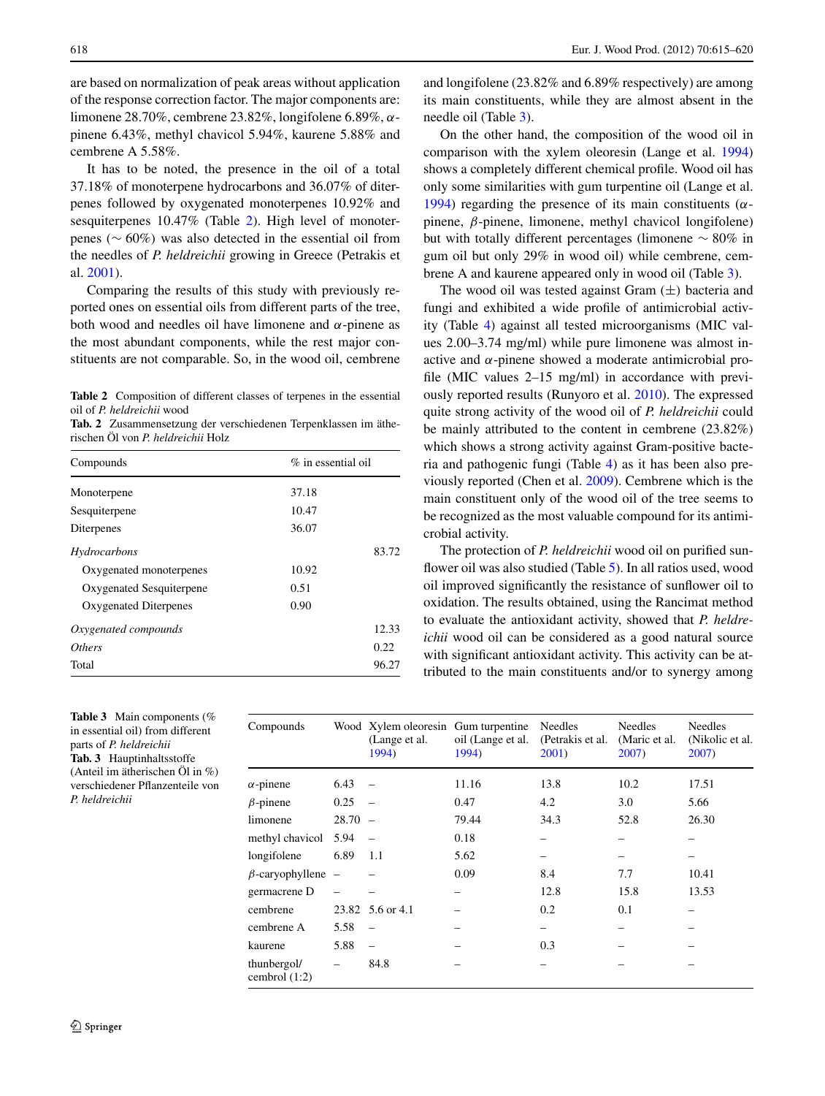are based on normalization of peak areas without application of the response correction factor. The major components are: limonene 28.70%, cembrene 23.82%, longifolene 6.89%, *α*pinene 6.43%, methyl chavicol 5.94%, kaurene 5.88% and cembrene A 5.58%.

It has to be noted, the presence in the oil of a total 37.18% of monoterpene hydrocarbons and 36.07% of diterpenes followed by oxygenated monoterpenes 10.92% and sesquiterpenes 10.47% (Table [2\)](#page-3-0). High level of monoterpenes (∼ 60%*)* was also detected in the essential oil from the needles of *P. heldreichii* growing in Greece (Petrakis et al. [2001\)](#page-5-8).

<span id="page-3-0"></span>Comparing the results of this study with previously reported ones on essential oils from different parts of the tree, both wood and needles oil have limonene and *α*-pinene as the most abundant components, while the rest major constituents are not comparable. So, in the wood oil, cembrene

**Table 2** Composition of different classes of terpenes in the essential oil of *P. heldreichii* wood

**Tab. 2** Zusammensetzung der verschiedenen Terpenklassen im ätherischen Öl von *P. heldreichii* Holz

| Compounds                | $\%$ in essential oil |       |  |
|--------------------------|-----------------------|-------|--|
| Monoterpene              | 37.18                 |       |  |
| Sesquiterpene            | 10.47                 |       |  |
| Diterpenes               | 36.07                 |       |  |
| Hydrocarbons             |                       | 83.72 |  |
| Oxygenated monoterpenes  | 10.92                 |       |  |
| Oxygenated Sesquiterpene | 0.51                  |       |  |
| Oxygenated Diterpenes    | 0.90                  |       |  |
| Oxygenated compounds     |                       | 12.33 |  |
| <i>Others</i>            |                       | 0.22  |  |
| Total                    |                       | 96.27 |  |

and longifolene (23.82% and 6.89% respectively) are among its main constituents, while they are almost absent in the needle oil (Table [3](#page-3-1)).

On the other hand, the composition of the wood oil in comparison with the xylem oleoresin (Lange et al. [1994\)](#page-5-4) shows a completely different chemical profile. Wood oil has only some similarities with gum turpentine oil (Lange et al. [1994\)](#page-5-4) regarding the presence of its main constituents (*α*pinene, *β*-pinene, limonene, methyl chavicol longifolene) but with totally different percentages (limonene ∼ 80% in gum oil but only 29% in wood oil) while cembrene, cembrene A and kaurene appeared only in wood oil (Table [3](#page-3-1)).

The wood oil was tested against Gram (±*)* bacteria and fungi and exhibited a wide profile of antimicrobial activity (Table [4](#page-4-3)) against all tested microorganisms (MIC values 2.00–3.74 mg/ml) while pure limonene was almost inactive and *α*-pinene showed a moderate antimicrobial profile (MIC values 2–15 mg/ml) in accordance with previously reported results (Runyoro et al. [2010](#page-5-11)). The expressed quite strong activity of the wood oil of *P. heldreichii* could be mainly attributed to the content in cembrene (23.82%) which shows a strong activity against Gram-positive bacteria and pathogenic fungi (Table [4](#page-4-3)) as it has been also previously reported (Chen et al. [2009](#page-4-4)). Cembrene which is the main constituent only of the wood oil of the tree seems to be recognized as the most valuable compound for its antimicrobial activity.

The protection of *P. heldreichii* wood oil on purified sun-flower oil was also studied (Table [5\)](#page-4-5). In all ratios used, wood oil improved significantly the resistance of sunflower oil to oxidation. The results obtained, using the Rancimat method to evaluate the antioxidant activity, showed that *P. heldreichii* wood oil can be considered as a good natural source with significant antioxidant activity. This activity can be attributed to the main constituents and/or to synergy among

<span id="page-3-1"></span>**Table 3** Main components (% in essential oil) from different parts of *P. heldreichii* **Tab. 3** Hauptinhaltsstoffe (Anteil im ätherischen Öl in %) verschiedener Pflanzenteile von *P. heldreichii*

| Compounds                      |           | Wood Xylem oleoresin Gum turpentine<br>(Lange et al.)<br>1994) | oil (Lange et al.<br>1994) | <b>Needles</b><br>(Petrakis et al.<br>2001) | <b>Needles</b><br>(Maric et al.)<br>2007) | <b>Needles</b><br>(Nikolic et al.<br>$2007$ ) |
|--------------------------------|-----------|----------------------------------------------------------------|----------------------------|---------------------------------------------|-------------------------------------------|-----------------------------------------------|
| $\alpha$ -pinene               | 6.43      | $\overline{\phantom{a}}$                                       | 11.16                      | 13.8                                        | 10.2                                      | 17.51                                         |
| $\beta$ -pinene                | 0.25      |                                                                | 0.47                       | 4.2                                         | 3.0                                       | 5.66                                          |
| limonene                       | $28.70 -$ |                                                                | 79.44                      | 34.3                                        | 52.8                                      | 26.30                                         |
| methyl chavicol                | 5.94      |                                                                | 0.18                       |                                             |                                           |                                               |
| longifolene                    | 6.89      | 1.1                                                            | 5.62                       |                                             |                                           |                                               |
| $\beta$ -caryophyllene –       |           |                                                                | 0.09                       | 8.4                                         | 7.7                                       | 10.41                                         |
| germacrene D                   |           |                                                                | -                          | 12.8                                        | 15.8                                      | 13.53                                         |
| cembrene                       |           | 23.82 5.6 or 4.1                                               |                            | 0.2                                         | 0.1                                       |                                               |
| cembrene A                     | 5.58      |                                                                |                            | -                                           |                                           |                                               |
| kaurene                        | 5.88      |                                                                |                            | 0.3                                         |                                           |                                               |
| thunbergol/<br>cembrol $(1:2)$ |           | 84.8                                                           |                            | -                                           |                                           |                                               |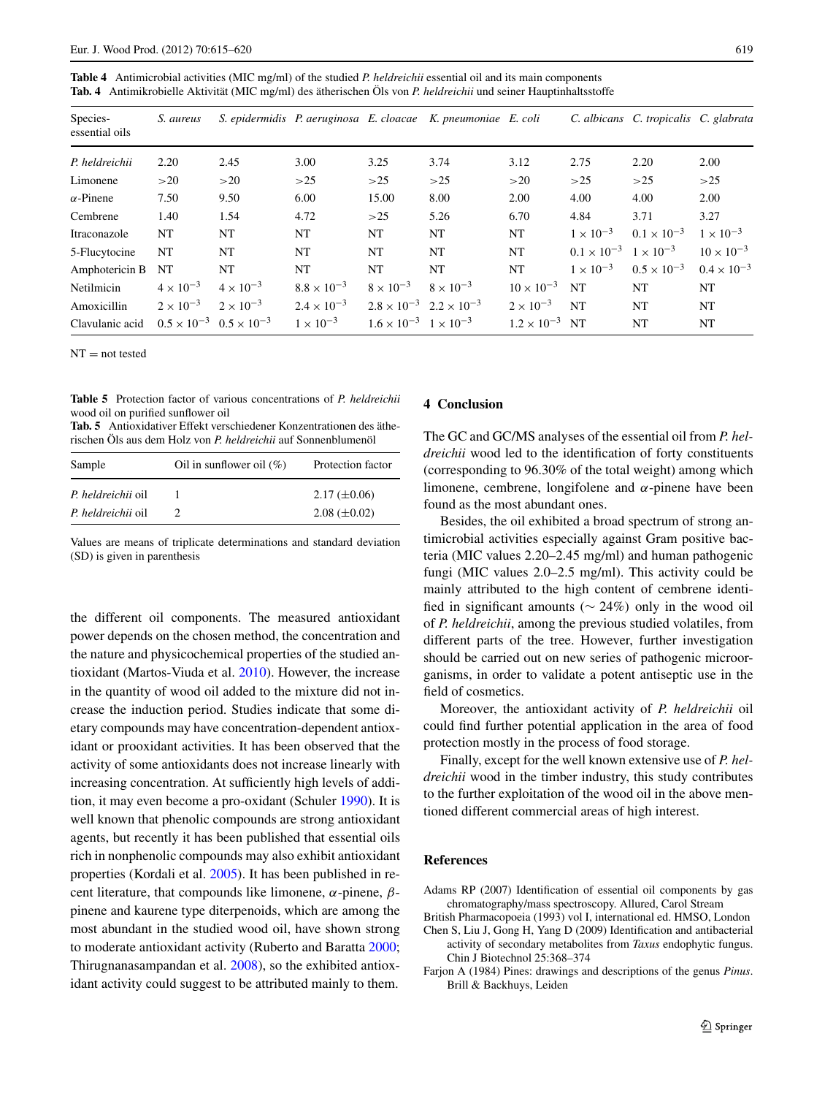<span id="page-4-3"></span>**Table 4** Antimicrobial activities (MIC mg/ml) of the studied *P. heldreichii* essential oil and its main components **Tab. 4** Antimikrobielle Aktivität (MIC mg/ml) des ätherischen Öls von *P. heldreichii* und seiner Hauptinhaltsstoffe

| Species-<br>essential oils | S. aureus          |                                           |                      |                                           | S. epidermidis P. aeruginosa E. cloacae K. pneumoniae E. coli |                         |                                         | C. albicans C. tropicalis C. glabrata |                      |
|----------------------------|--------------------|-------------------------------------------|----------------------|-------------------------------------------|---------------------------------------------------------------|-------------------------|-----------------------------------------|---------------------------------------|----------------------|
| P. heldreichii             | 2.20               | 2.45                                      | 3.00                 | 3.25                                      | 3.74                                                          | 3.12                    | 2.75                                    | 2.20                                  | 2.00                 |
| Limonene                   | >20                | >20                                       | >25                  | >25                                       | >25                                                           | >20                     | >25                                     | >25                                   | >25                  |
| $\alpha$ -Pinene           | 7.50               | 9.50                                      | 6.00                 | 15.00                                     | 8.00                                                          | 2.00                    | 4.00                                    | 4.00                                  | 2.00                 |
| Cembrene                   | 1.40               | 1.54                                      | 4.72                 | >25                                       | 5.26                                                          | 6.70                    | 4.84                                    | 3.71                                  | 3.27                 |
| Itraconazole               | NT                 | NT                                        | NT                   | NT.                                       | NT                                                            | NT                      | $1 \times 10^{-3}$                      | $0.1 \times 10^{-3}$                  | $1 \times 10^{-3}$   |
| 5-Flucytocine              | NT                 | <b>NT</b>                                 | NT                   | NT                                        | <b>NT</b>                                                     | NT                      | $0.1 \times 10^{-3}$ $1 \times 10^{-3}$ |                                       | $10 \times 10^{-3}$  |
| Amphotericin B             | NT                 | <b>NT</b>                                 | <b>NT</b>            | NT                                        | NT                                                            | <b>NT</b>               | $1 \times 10^{-3}$                      | $0.5 \times 10^{-3}$                  | $0.4 \times 10^{-3}$ |
| Netilmicin                 | $4 \times 10^{-3}$ | $4 \times 10^{-3}$                        | $8.8 \times 10^{-3}$ | $8 \times 10^{-3}$                        | $8 \times 10^{-3}$                                            | $10 \times 10^{-3}$     | <b>NT</b>                               | NT                                    | NT                   |
| Amoxicillin                | $2 \times 10^{-3}$ | $2 \times 10^{-3}$                        | $2.4 \times 10^{-3}$ | $2.8 \times 10^{-3}$ $2.2 \times 10^{-3}$ |                                                               | $2 \times 10^{-3}$      | <b>NT</b>                               | NT                                    | NT                   |
| Clavulanic acid            |                    | $0.5 \times 10^{-3}$ $0.5 \times 10^{-3}$ | $1 \times 10^{-3}$   | $1.6 \times 10^{-3}$ 1 $\times 10^{-3}$   |                                                               | $1.2 \times 10^{-3}$ NT |                                         | NT                                    | NT                   |

<span id="page-4-5"></span> $NT = not tested$ 

**Table 5** Protection factor of various concentrations of *P. heldreichii* wood oil on purified sunflower oil

**Tab. 5** Antioxidativer Effekt verschiedener Konzentrationen des ätherischen Öls aus dem Holz von *P. heldreichii* auf Sonnenblumenöl

| Sample             | Oil in sunflower oil $(\%)$ | Protection factor   |
|--------------------|-----------------------------|---------------------|
| P. heldreichii oil |                             | $2.17 \ (\pm 0.06)$ |
| P. heldreichii oil |                             | $2.08 \ (\pm 0.02)$ |

Values are means of triplicate determinations and standard deviation (SD) is given in parenthesis

the different oil components. The measured antioxidant power depends on the chosen method, the concentration and the nature and physicochemical properties of the studied antioxidant (Martos-Viuda et al. [2010](#page-5-15)). However, the increase in the quantity of wood oil added to the mixture did not increase the induction period. Studies indicate that some dietary compounds may have concentration-dependent antioxidant or prooxidant activities. It has been observed that the activity of some antioxidants does not increase linearly with increasing concentration. At sufficiently high levels of addition, it may even become a pro-oxidant (Schuler [1990](#page-5-16)). It is well known that phenolic compounds are strong antioxidant agents, but recently it has been published that essential oils rich in nonphenolic compounds may also exhibit antioxidant properties (Kordali et al. [2005\)](#page-5-17). It has been published in recent literature, that compounds like limonene, *α*-pinene, *β*pinene and kaurene type diterpenoids, which are among the most abundant in the studied wood oil, have shown strong to moderate antioxidant activity (Ruberto and Baratta [2000](#page-5-18); Thirugnanasampandan et al. [2008](#page-5-19)), so the exhibited antioxidant activity could suggest to be attributed mainly to them.

## **4 Conclusion**

The GC and GC/MS analyses of the essential oil from *P. heldreichii* wood led to the identification of forty constituents (corresponding to 96.30% of the total weight) among which limonene, cembrene, longifolene and *α*-pinene have been found as the most abundant ones.

Besides, the oil exhibited a broad spectrum of strong antimicrobial activities especially against Gram positive bacteria (MIC values 2.20–2.45 mg/ml) and human pathogenic fungi (MIC values 2.0–2.5 mg/ml). This activity could be mainly attributed to the high content of cembrene identified in significant amounts (∼ 24%*)* only in the wood oil of *P. heldreichii*, among the previous studied volatiles, from different parts of the tree. However, further investigation should be carried out on new series of pathogenic microorganisms, in order to validate a potent antiseptic use in the field of cosmetics.

Moreover, the antioxidant activity of *P. heldreichii* oil could find further potential application in the area of food protection mostly in the process of food storage.

<span id="page-4-4"></span><span id="page-4-2"></span><span id="page-4-1"></span>Finally, except for the well known extensive use of *P. heldreichii* wood in the timber industry, this study contributes to the further exploitation of the wood oil in the above mentioned different commercial areas of high interest.

### <span id="page-4-0"></span>**References**

Adams RP (2007) Identification of essential oil components by gas chromatography/mass spectroscopy. Allured, Carol Stream

- British Pharmacopoeia (1993) vol I, international ed. HMSO, London
- Chen S, Liu J, Gong H, Yang D (2009) Identification and antibacterial activity of secondary metabolites from *Taxus* endophytic fungus. Chin J Biotechnol 25:368–374
- Farjon A (1984) Pines: drawings and descriptions of the genus *Pinus*. Brill & Backhuys, Leiden